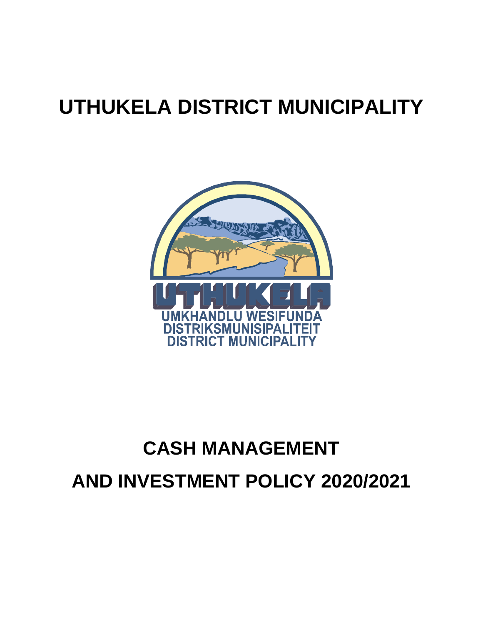# **UTHUKELA DISTRICT MUNICIPALITY**



# **CASH MANAGEMENT AND INVESTMENT POLICY 2020/2021**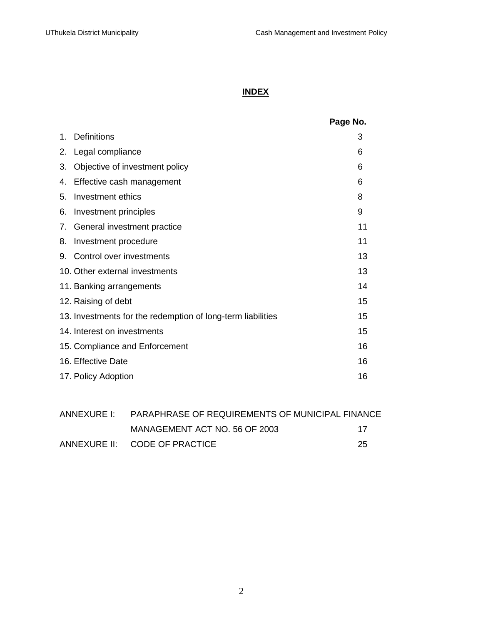# **INDEX**

|                |                                                             | Page No. |
|----------------|-------------------------------------------------------------|----------|
| $\mathbf{1}$ . | <b>Definitions</b>                                          | 3        |
| 2.             | Legal compliance                                            | 6        |
| 3.             | Objective of investment policy                              | 6        |
| 4.             | Effective cash management                                   | 6        |
| 5.             | Investment ethics                                           | 8        |
| 6.             | Investment principles                                       | 9        |
| 7.             | General investment practice                                 | 11       |
| 8.             | Investment procedure                                        | 11       |
| 9.             | Control over investments                                    | 13       |
|                | 10. Other external investments                              | 13       |
|                | 11. Banking arrangements                                    | 14       |
|                | 12. Raising of debt                                         | 15       |
|                | 13. Investments for the redemption of long-term liabilities | 15       |
|                | 14. Interest on investments                                 | 15       |
|                | 15. Compliance and Enforcement                              | 16       |
|                | 16. Effective Date                                          | 16       |
|                | 17. Policy Adoption                                         | 16       |

| ANNEXURE I: PARAPHRASE OF REQUIREMENTS OF MUNICIPAL FINANCE |     |  |
|-------------------------------------------------------------|-----|--|
| MANAGEMENT ACT NO. 56 OF 2003                               | -17 |  |
| ANNEXURE II: CODE OF PRACTICE                               | 25  |  |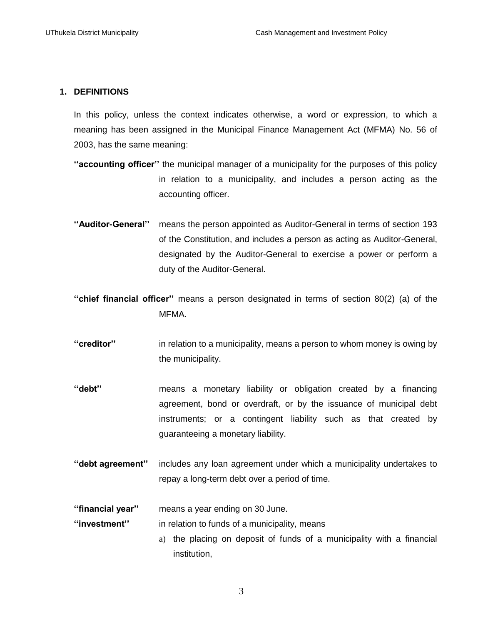# **1. DEFINITIONS**

In this policy, unless the context indicates otherwise, a word or expression, to which a meaning has been assigned in the Municipal Finance Management Act (MFMA) No. 56 of 2003, has the same meaning:

- **''accounting officer''** the municipal manager of a municipality for the purposes of this policy in relation to a municipality, and includes a person acting as the accounting officer.
- **''Auditor-General''** means the person appointed as Auditor-General in terms of section 193 of the Constitution, and includes a person as acting as Auditor-General, designated by the Auditor-General to exercise a power or perform a duty of the Auditor-General.
- **''chief financial officer''** means a person designated in terms of section 80(2) (a) of the MFMA.
- **''creditor''** in relation to a municipality, means a person to whom money is owing by the municipality.
- **''debt''** means a monetary liability or obligation created by a financing agreement, bond or overdraft, or by the issuance of municipal debt instruments; or a contingent liability such as that created by guaranteeing a monetary liability.
- **''debt agreement''** includes any loan agreement under which a municipality undertakes to repay a long-term debt over a period of time.

**''financial year''** means a year ending on 30 June.

**''investment''** in relation to funds of a municipality, means

a) the placing on deposit of funds of a municipality with a financial institution,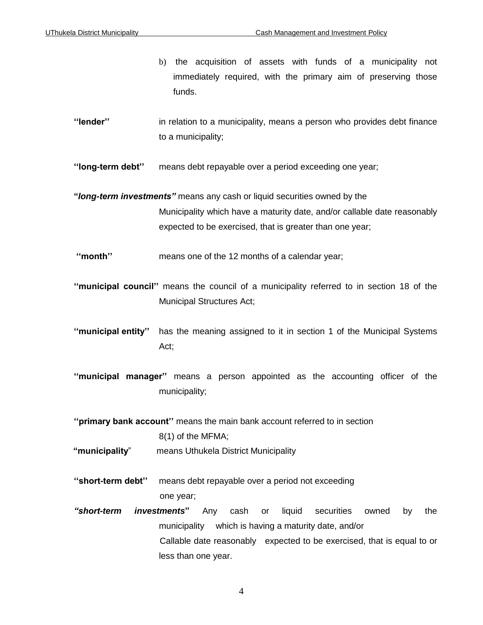- b) the acquisition of assets with funds of a municipality not immediately required, with the primary aim of preserving those funds.
- **''lender''** in relation to a municipality, means a person who provides debt finance to a municipality;
- **''long-term debt''** means debt repayable over a period exceeding one year;
- **"***long-term investments"* means any cash or liquid securities owned by the Municipality which have a maturity date, and/or callable date reasonably expected to be exercised, that is greater than one year;
- **''month''** means one of the 12 months of a calendar year;
- **''municipal council''** means the council of a municipality referred to in section 18 of the Municipal Structures Act;
- **''municipal entity''** has the meaning assigned to it in section 1 of the Municipal Systems Act;
- **''municipal manager''** means a person appointed as the accounting officer of the municipality;
- **''primary bank account''** means the main bank account referred to in section 8(1) of the MFMA;
- **"municipality**" means Uthukela District Municipality
- **''short-term debt''** means debt repayable over a period not exceeding one year;
- *"short-term investments***"** Any cash or liquid securities owned by the municipality which is having a maturity date, and/or Callable date reasonably expected to be exercised, that is equal to or less than one year.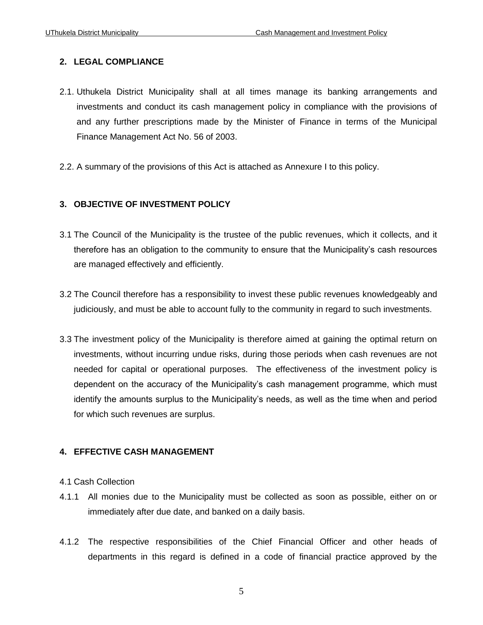# **2. LEGAL COMPLIANCE**

- 2.1. Uthukela District Municipality shall at all times manage its banking arrangements and investments and conduct its cash management policy in compliance with the provisions of and any further prescriptions made by the Minister of Finance in terms of the Municipal Finance Management Act No. 56 of 2003.
- 2.2. A summary of the provisions of this Act is attached as Annexure I to this policy.

# **3. OBJECTIVE OF INVESTMENT POLICY**

- 3.1 The Council of the Municipality is the trustee of the public revenues, which it collects, and it therefore has an obligation to the community to ensure that the Municipality's cash resources are managed effectively and efficiently.
- 3.2 The Council therefore has a responsibility to invest these public revenues knowledgeably and judiciously, and must be able to account fully to the community in regard to such investments.
- 3.3 The investment policy of the Municipality is therefore aimed at gaining the optimal return on investments, without incurring undue risks, during those periods when cash revenues are not needed for capital or operational purposes. The effectiveness of the investment policy is dependent on the accuracy of the Municipality's cash management programme, which must identify the amounts surplus to the Municipality's needs, as well as the time when and period for which such revenues are surplus.

## **4. EFFECTIVE CASH MANAGEMENT**

## 4.1 Cash Collection

- 4.1.1 All monies due to the Municipality must be collected as soon as possible, either on or immediately after due date, and banked on a daily basis.
- 4.1.2 The respective responsibilities of the Chief Financial Officer and other heads of departments in this regard is defined in a code of financial practice approved by the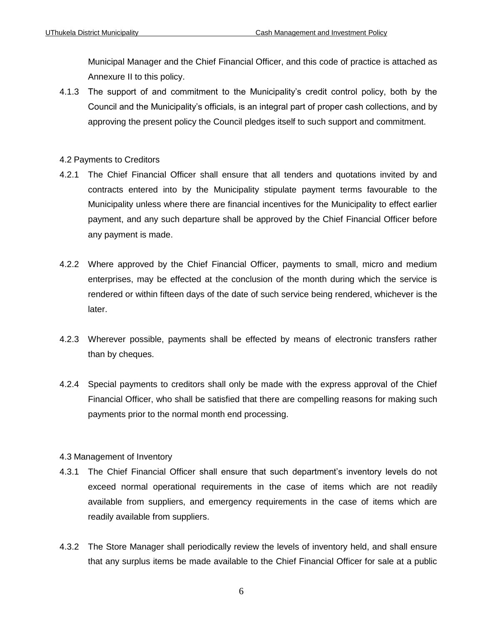Municipal Manager and the Chief Financial Officer, and this code of practice is attached as Annexure II to this policy.

4.1.3 The support of and commitment to the Municipality's credit control policy, both by the Council and the Municipality's officials, is an integral part of proper cash collections, and by approving the present policy the Council pledges itself to such support and commitment.

# 4.2 Payments to Creditors

- 4.2.1 The Chief Financial Officer shall ensure that all tenders and quotations invited by and contracts entered into by the Municipality stipulate payment terms favourable to the Municipality unless where there are financial incentives for the Municipality to effect earlier payment, and any such departure shall be approved by the Chief Financial Officer before any payment is made.
- 4.2.2 Where approved by the Chief Financial Officer, payments to small, micro and medium enterprises, may be effected at the conclusion of the month during which the service is rendered or within fifteen days of the date of such service being rendered, whichever is the later.
- 4.2.3 Wherever possible, payments shall be effected by means of electronic transfers rather than by cheques.
- 4.2.4 Special payments to creditors shall only be made with the express approval of the Chief Financial Officer, who shall be satisfied that there are compelling reasons for making such payments prior to the normal month end processing.

## 4.3 Management of Inventory

- 4.3.1 The Chief Financial Officer shall ensure that such department's inventory levels do not exceed normal operational requirements in the case of items which are not readily available from suppliers, and emergency requirements in the case of items which are readily available from suppliers.
- 4.3.2 The Store Manager shall periodically review the levels of inventory held, and shall ensure that any surplus items be made available to the Chief Financial Officer for sale at a public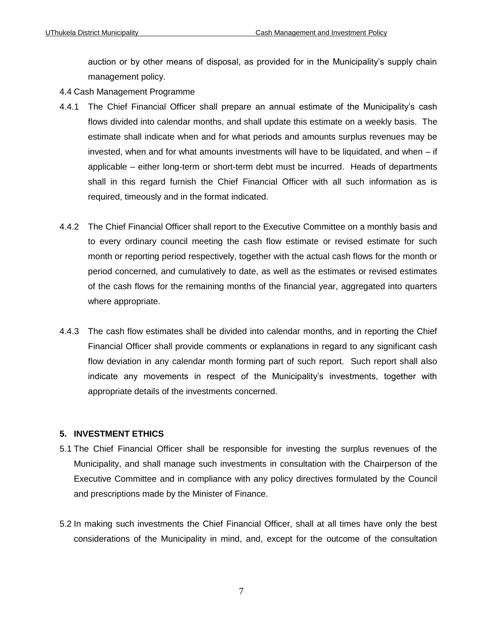auction or by other means of disposal, as provided for in the Municipality's supply chain management policy.

- 4.4 Cash Management Programme
- 4.4.1 The Chief Financial Officer shall prepare an annual estimate of the Municipality's cash flows divided into calendar months, and shall update this estimate on a weekly basis. The estimate shall indicate when and for what periods and amounts surplus revenues may be invested, when and for what amounts investments will have to be liquidated, and when – if applicable – either long-term or short-term debt must be incurred. Heads of departments shall in this regard furnish the Chief Financial Officer with all such information as is required, timeously and in the format indicated.
- 4.4.2 The Chief Financial Officer shall report to the Executive Committee on a monthly basis and to every ordinary council meeting the cash flow estimate or revised estimate for such month or reporting period respectively, together with the actual cash flows for the month or period concerned, and cumulatively to date, as well as the estimates or revised estimates of the cash flows for the remaining months of the financial year, aggregated into quarters where appropriate.
- 4.4.3 The cash flow estimates shall be divided into calendar months, and in reporting the Chief Financial Officer shall provide comments or explanations in regard to any significant cash flow deviation in any calendar month forming part of such report. Such report shall also indicate any movements in respect of the Municipality's investments, together with appropriate details of the investments concerned.

# **5. INVESTMENT ETHICS**

- 5.1 The Chief Financial Officer shall be responsible for investing the surplus revenues of the Municipality, and shall manage such investments in consultation with the Chairperson of the Executive Committee and in compliance with any policy directives formulated by the Council and prescriptions made by the Minister of Finance.
- 5.2 In making such investments the Chief Financial Officer, shall at all times have only the best considerations of the Municipality in mind, and, except for the outcome of the consultation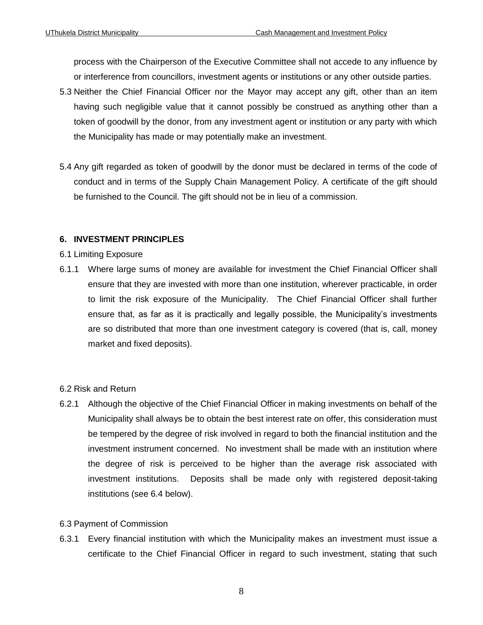process with the Chairperson of the Executive Committee shall not accede to any influence by or interference from councillors, investment agents or institutions or any other outside parties.

- 5.3 Neither the Chief Financial Officer nor the Mayor may accept any gift, other than an item having such negligible value that it cannot possibly be construed as anything other than a token of goodwill by the donor, from any investment agent or institution or any party with which the Municipality has made or may potentially make an investment.
- 5.4 Any gift regarded as token of goodwill by the donor must be declared in terms of the code of conduct and in terms of the Supply Chain Management Policy. A certificate of the gift should be furnished to the Council. The gift should not be in lieu of a commission.

# **6. INVESTMENT PRINCIPLES**

## 6.1 Limiting Exposure

6.1.1 Where large sums of money are available for investment the Chief Financial Officer shall ensure that they are invested with more than one institution, wherever practicable, in order to limit the risk exposure of the Municipality. The Chief Financial Officer shall further ensure that, as far as it is practically and legally possible, the Municipality's investments are so distributed that more than one investment category is covered (that is, call, money market and fixed deposits).

# 6.2 Risk and Return

6.2.1 Although the objective of the Chief Financial Officer in making investments on behalf of the Municipality shall always be to obtain the best interest rate on offer, this consideration must be tempered by the degree of risk involved in regard to both the financial institution and the investment instrument concerned. No investment shall be made with an institution where the degree of risk is perceived to be higher than the average risk associated with investment institutions. Deposits shall be made only with registered deposit-taking institutions (see 6.4 below).

# 6.3 Payment of Commission

6.3.1 Every financial institution with which the Municipality makes an investment must issue a certificate to the Chief Financial Officer in regard to such investment, stating that such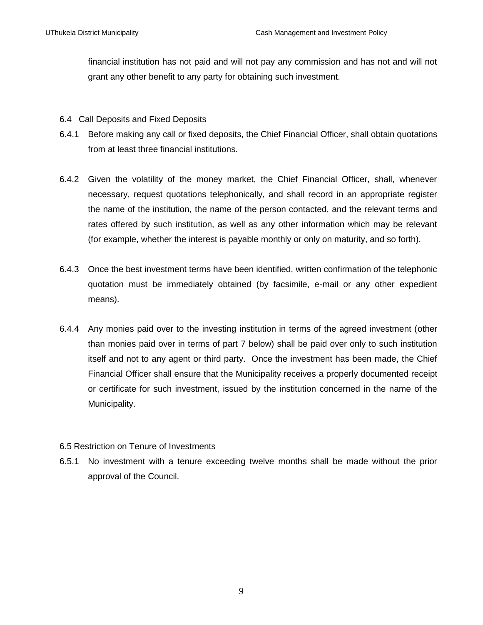financial institution has not paid and will not pay any commission and has not and will not grant any other benefit to any party for obtaining such investment.

- 6.4 Call Deposits and Fixed Deposits
- 6.4.1 Before making any call or fixed deposits, the Chief Financial Officer, shall obtain quotations from at least three financial institutions.
- 6.4.2 Given the volatility of the money market, the Chief Financial Officer, shall, whenever necessary, request quotations telephonically, and shall record in an appropriate register the name of the institution, the name of the person contacted, and the relevant terms and rates offered by such institution, as well as any other information which may be relevant (for example, whether the interest is payable monthly or only on maturity, and so forth).
- 6.4.3 Once the best investment terms have been identified, written confirmation of the telephonic quotation must be immediately obtained (by facsimile, e-mail or any other expedient means).
- 6.4.4 Any monies paid over to the investing institution in terms of the agreed investment (other than monies paid over in terms of part 7 below) shall be paid over only to such institution itself and not to any agent or third party. Once the investment has been made, the Chief Financial Officer shall ensure that the Municipality receives a properly documented receipt or certificate for such investment, issued by the institution concerned in the name of the Municipality.

# 6.5 Restriction on Tenure of Investments

6.5.1 No investment with a tenure exceeding twelve months shall be made without the prior approval of the Council.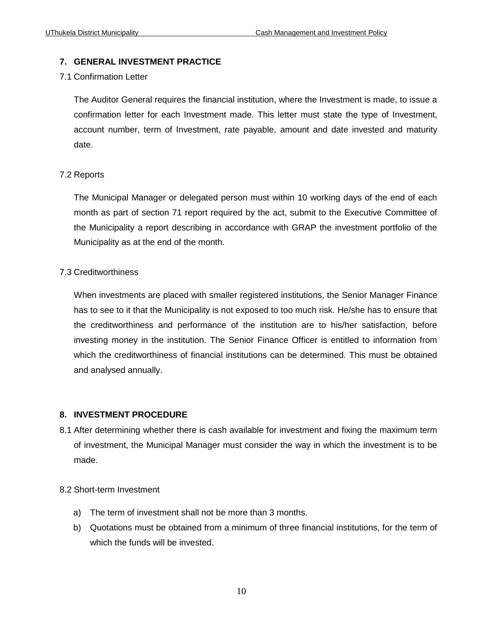# **7. GENERAL INVESTMENT PRACTICE**

# 7.1 Confirmation Letter

The Auditor General requires the financial institution, where the Investment is made, to issue a confirmation letter for each Investment made. This letter must state the type of Investment, account number, term of Investment, rate payable, amount and date invested and maturity date.

# 7.2 Reports

The Municipal Manager or delegated person must within 10 working days of the end of each month as part of section 71 report required by the act, submit to the Executive Committee of the Municipality a report describing in accordance with GRAP the investment portfolio of the Municipality as at the end of the month.

# 7.3 Creditworthiness

When investments are placed with smaller registered institutions, the Senior Manager Finance has to see to it that the Municipality is not exposed to too much risk. He/she has to ensure that the creditworthiness and performance of the institution are to his/her satisfaction, before investing money in the institution. The Senior Finance Officer is entitled to information from which the creditworthiness of financial institutions can be determined. This must be obtained and analysed annually.

# **8. INVESTMENT PROCEDURE**

8.1 After determining whether there is cash available for investment and fixing the maximum term of investment, the Municipal Manager must consider the way in which the investment is to be made.

## 8.2 Short-term Investment

- a) The term of investment shall not be more than 3 months.
- b) Quotations must be obtained from a minimum of three financial institutions, for the term of which the funds will be invested.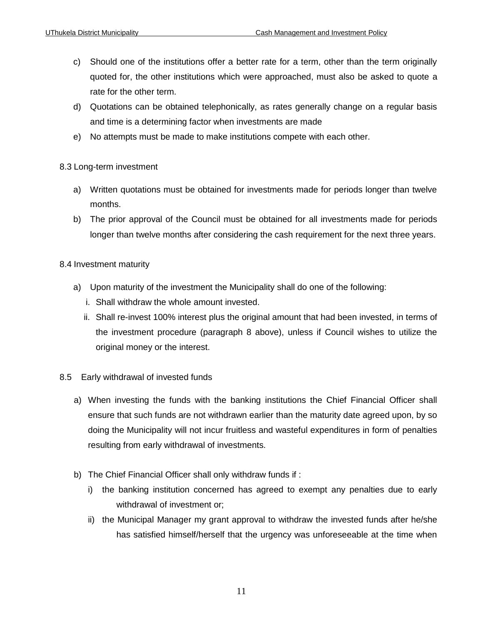- c) Should one of the institutions offer a better rate for a term, other than the term originally quoted for, the other institutions which were approached, must also be asked to quote a rate for the other term.
- d) Quotations can be obtained telephonically, as rates generally change on a regular basis and time is a determining factor when investments are made
- e) No attempts must be made to make institutions compete with each other.

# 8.3 Long-term investment

- a) Written quotations must be obtained for investments made for periods longer than twelve months.
- b) The prior approval of the Council must be obtained for all investments made for periods longer than twelve months after considering the cash requirement for the next three years.

## 8.4 Investment maturity

- a) Upon maturity of the investment the Municipality shall do one of the following:
	- i. Shall withdraw the whole amount invested.
	- ii. Shall re-invest 100% interest plus the original amount that had been invested, in terms of the investment procedure (paragraph 8 above), unless if Council wishes to utilize the original money or the interest.

## 8.5 Early withdrawal of invested funds

- a) When investing the funds with the banking institutions the Chief Financial Officer shall ensure that such funds are not withdrawn earlier than the maturity date agreed upon, by so doing the Municipality will not incur fruitless and wasteful expenditures in form of penalties resulting from early withdrawal of investments.
- b) The Chief Financial Officer shall only withdraw funds if :
	- i) the banking institution concerned has agreed to exempt any penalties due to early withdrawal of investment or;
	- ii) the Municipal Manager my grant approval to withdraw the invested funds after he/she has satisfied himself/herself that the urgency was unforeseeable at the time when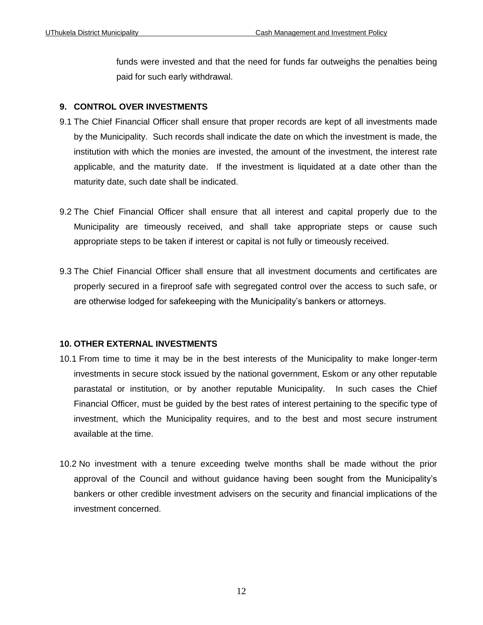funds were invested and that the need for funds far outweighs the penalties being paid for such early withdrawal.

# **9. CONTROL OVER INVESTMENTS**

- 9.1 The Chief Financial Officer shall ensure that proper records are kept of all investments made by the Municipality. Such records shall indicate the date on which the investment is made, the institution with which the monies are invested, the amount of the investment, the interest rate applicable, and the maturity date. If the investment is liquidated at a date other than the maturity date, such date shall be indicated.
- 9.2 The Chief Financial Officer shall ensure that all interest and capital properly due to the Municipality are timeously received, and shall take appropriate steps or cause such appropriate steps to be taken if interest or capital is not fully or timeously received.
- 9.3 The Chief Financial Officer shall ensure that all investment documents and certificates are properly secured in a fireproof safe with segregated control over the access to such safe, or are otherwise lodged for safekeeping with the Municipality's bankers or attorneys.

# **10. OTHER EXTERNAL INVESTMENTS**

- 10.1 From time to time it may be in the best interests of the Municipality to make longer-term investments in secure stock issued by the national government, Eskom or any other reputable parastatal or institution, or by another reputable Municipality. In such cases the Chief Financial Officer, must be guided by the best rates of interest pertaining to the specific type of investment, which the Municipality requires, and to the best and most secure instrument available at the time.
- 10.2 No investment with a tenure exceeding twelve months shall be made without the prior approval of the Council and without guidance having been sought from the Municipality's bankers or other credible investment advisers on the security and financial implications of the investment concerned.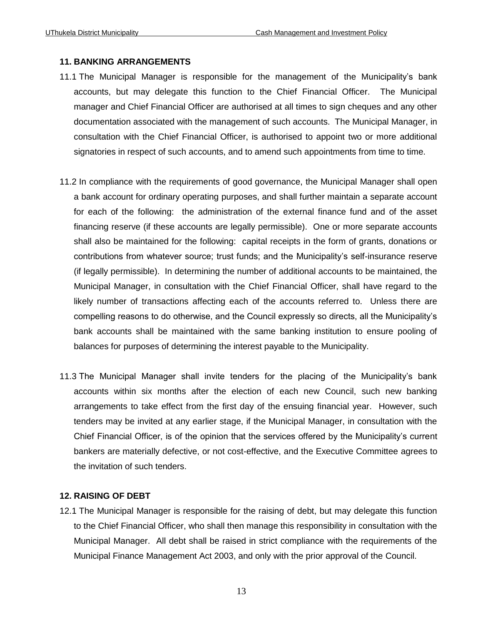#### **11. BANKING ARRANGEMENTS**

- 11.1 The Municipal Manager is responsible for the management of the Municipality's bank accounts, but may delegate this function to the Chief Financial Officer. The Municipal manager and Chief Financial Officer are authorised at all times to sign cheques and any other documentation associated with the management of such accounts. The Municipal Manager, in consultation with the Chief Financial Officer, is authorised to appoint two or more additional signatories in respect of such accounts, and to amend such appointments from time to time.
- 11.2 In compliance with the requirements of good governance, the Municipal Manager shall open a bank account for ordinary operating purposes, and shall further maintain a separate account for each of the following: the administration of the external finance fund and of the asset financing reserve (if these accounts are legally permissible). One or more separate accounts shall also be maintained for the following: capital receipts in the form of grants, donations or contributions from whatever source; trust funds; and the Municipality's self-insurance reserve (if legally permissible). In determining the number of additional accounts to be maintained, the Municipal Manager, in consultation with the Chief Financial Officer, shall have regard to the likely number of transactions affecting each of the accounts referred to. Unless there are compelling reasons to do otherwise, and the Council expressly so directs, all the Municipality's bank accounts shall be maintained with the same banking institution to ensure pooling of balances for purposes of determining the interest payable to the Municipality.
- 11.3 The Municipal Manager shall invite tenders for the placing of the Municipality's bank accounts within six months after the election of each new Council, such new banking arrangements to take effect from the first day of the ensuing financial year. However, such tenders may be invited at any earlier stage, if the Municipal Manager, in consultation with the Chief Financial Officer, is of the opinion that the services offered by the Municipality's current bankers are materially defective, or not cost-effective, and the Executive Committee agrees to the invitation of such tenders.

# **12. RAISING OF DEBT**

12.1 The Municipal Manager is responsible for the raising of debt, but may delegate this function to the Chief Financial Officer, who shall then manage this responsibility in consultation with the Municipal Manager. All debt shall be raised in strict compliance with the requirements of the Municipal Finance Management Act 2003, and only with the prior approval of the Council.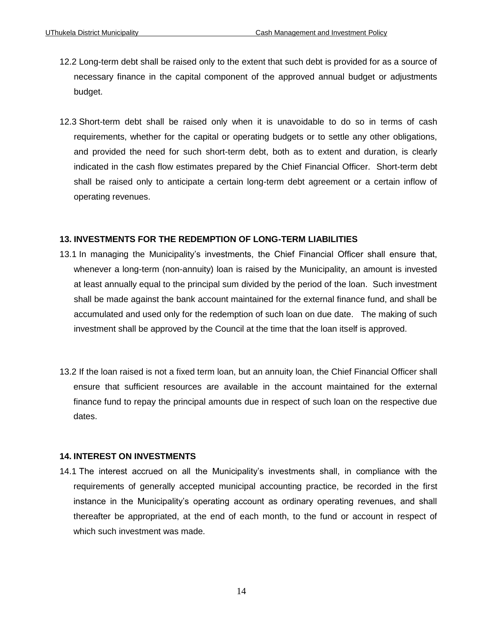- 12.2 Long-term debt shall be raised only to the extent that such debt is provided for as a source of necessary finance in the capital component of the approved annual budget or adjustments budget.
- 12.3 Short-term debt shall be raised only when it is unavoidable to do so in terms of cash requirements, whether for the capital or operating budgets or to settle any other obligations, and provided the need for such short-term debt, both as to extent and duration, is clearly indicated in the cash flow estimates prepared by the Chief Financial Officer. Short-term debt shall be raised only to anticipate a certain long-term debt agreement or a certain inflow of operating revenues.

# **13. INVESTMENTS FOR THE REDEMPTION OF LONG-TERM LIABILITIES**

- 13.1 In managing the Municipality's investments, the Chief Financial Officer shall ensure that, whenever a long-term (non-annuity) loan is raised by the Municipality, an amount is invested at least annually equal to the principal sum divided by the period of the loan. Such investment shall be made against the bank account maintained for the external finance fund, and shall be accumulated and used only for the redemption of such loan on due date. The making of such investment shall be approved by the Council at the time that the loan itself is approved.
- 13.2 If the loan raised is not a fixed term loan, but an annuity loan, the Chief Financial Officer shall ensure that sufficient resources are available in the account maintained for the external finance fund to repay the principal amounts due in respect of such loan on the respective due dates.

## **14. INTEREST ON INVESTMENTS**

14.1 The interest accrued on all the Municipality's investments shall, in compliance with the requirements of generally accepted municipal accounting practice, be recorded in the first instance in the Municipality's operating account as ordinary operating revenues, and shall thereafter be appropriated, at the end of each month, to the fund or account in respect of which such investment was made.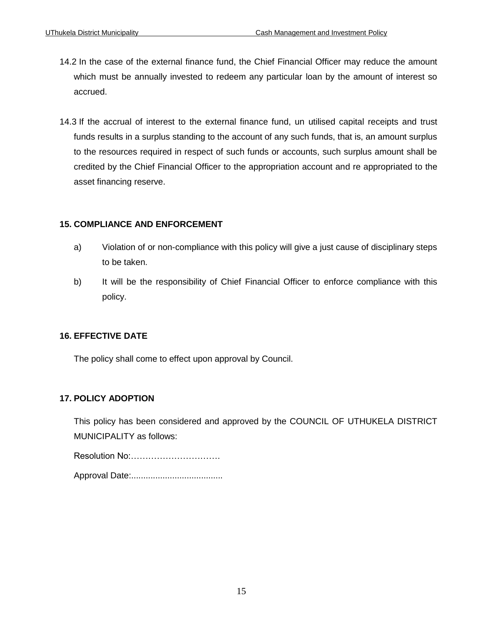- 14.2 In the case of the external finance fund, the Chief Financial Officer may reduce the amount which must be annually invested to redeem any particular loan by the amount of interest so accrued.
- 14.3 If the accrual of interest to the external finance fund, un utilised capital receipts and trust funds results in a surplus standing to the account of any such funds, that is, an amount surplus to the resources required in respect of such funds or accounts, such surplus amount shall be credited by the Chief Financial Officer to the appropriation account and re appropriated to the asset financing reserve.

# **15. COMPLIANCE AND ENFORCEMENT**

- a) Violation of or non-compliance with this policy will give a just cause of disciplinary steps to be taken.
- b) It will be the responsibility of Chief Financial Officer to enforce compliance with this policy.

# **16. EFFECTIVE DATE**

The policy shall come to effect upon approval by Council.

# **17. POLICY ADOPTION**

This policy has been considered and approved by the COUNCIL OF UTHUKELA DISTRICT MUNICIPALITY as follows:

Resolution No:…………………………. Approval Date:......................................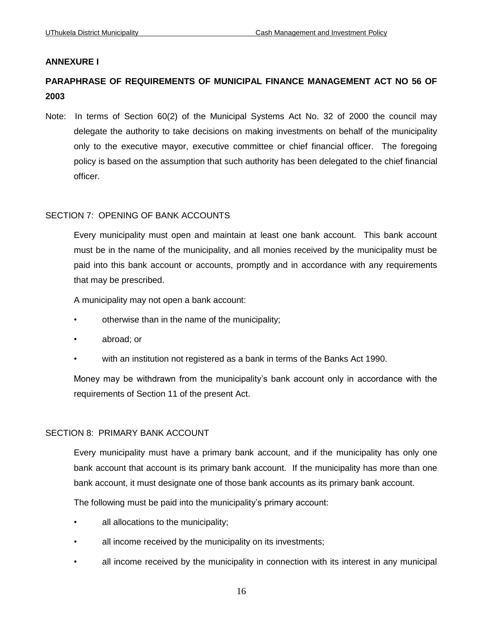# **ANNEXURE I**

# **PARAPHRASE OF REQUIREMENTS OF MUNICIPAL FINANCE MANAGEMENT ACT NO 56 OF 2003**

Note: In terms of Section 60(2) of the Municipal Systems Act No. 32 of 2000 the council may delegate the authority to take decisions on making investments on behalf of the municipality only to the executive mayor, executive committee or chief financial officer. The foregoing policy is based on the assumption that such authority has been delegated to the chief financial officer.

# SECTION 7: OPENING OF BANK ACCOUNTS

Every municipality must open and maintain at least one bank account. This bank account must be in the name of the municipality, and all monies received by the municipality must be paid into this bank account or accounts, promptly and in accordance with any requirements that may be prescribed.

A municipality may not open a bank account:

- otherwise than in the name of the municipality;
- abroad; or
- with an institution not registered as a bank in terms of the Banks Act 1990.

Money may be withdrawn from the municipality's bank account only in accordance with the requirements of Section 11 of the present Act.

## SECTION 8: PRIMARY BANK ACCOUNT

Every municipality must have a primary bank account, and if the municipality has only one bank account that account is its primary bank account. If the municipality has more than one bank account, it must designate one of those bank accounts as its primary bank account.

The following must be paid into the municipality's primary account:

- all allocations to the municipality;
- all income received by the municipality on its investments;
- all income received by the municipality in connection with its interest in any municipal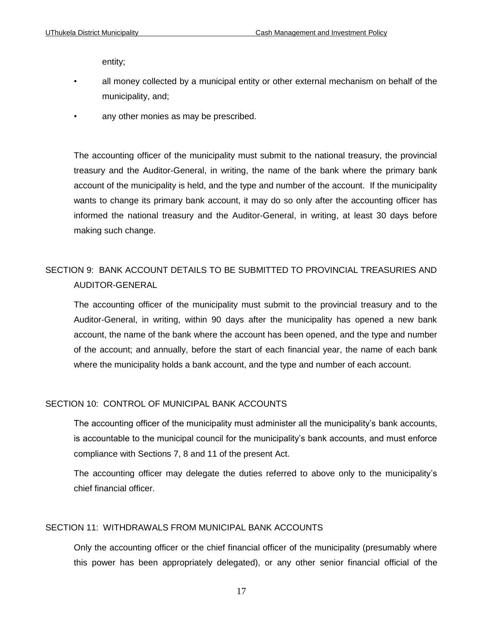entity;

- all money collected by a municipal entity or other external mechanism on behalf of the municipality, and;
- any other monies as may be prescribed.

The accounting officer of the municipality must submit to the national treasury, the provincial treasury and the Auditor-General, in writing, the name of the bank where the primary bank account of the municipality is held, and the type and number of the account. If the municipality wants to change its primary bank account, it may do so only after the accounting officer has informed the national treasury and the Auditor-General, in writing, at least 30 days before making such change.

# SECTION 9: BANK ACCOUNT DETAILS TO BE SUBMITTED TO PROVINCIAL TREASURIES AND AUDITOR-GENERAL

The accounting officer of the municipality must submit to the provincial treasury and to the Auditor-General, in writing, within 90 days after the municipality has opened a new bank account, the name of the bank where the account has been opened, and the type and number of the account; and annually, before the start of each financial year, the name of each bank where the municipality holds a bank account, and the type and number of each account.

#### SECTION 10: CONTROL OF MUNICIPAL BANK ACCOUNTS

The accounting officer of the municipality must administer all the municipality's bank accounts, is accountable to the municipal council for the municipality's bank accounts, and must enforce compliance with Sections 7, 8 and 11 of the present Act.

The accounting officer may delegate the duties referred to above only to the municipality's chief financial officer.

## SECTION 11: WITHDRAWALS FROM MUNICIPAL BANK ACCOUNTS

Only the accounting officer or the chief financial officer of the municipality (presumably where this power has been appropriately delegated), or any other senior financial official of the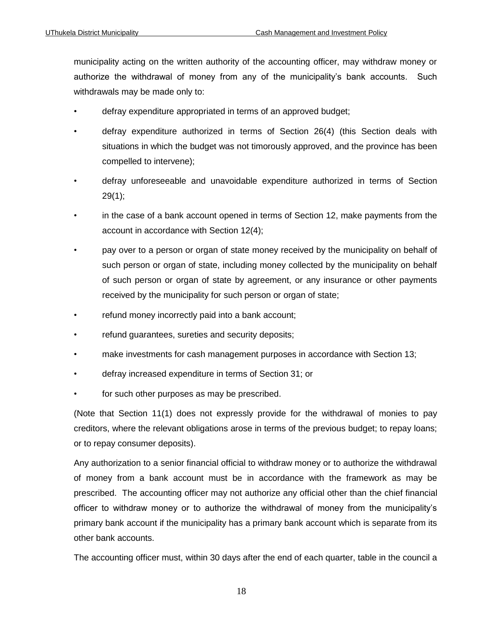municipality acting on the written authority of the accounting officer, may withdraw money or authorize the withdrawal of money from any of the municipality's bank accounts. Such withdrawals may be made only to:

- defray expenditure appropriated in terms of an approved budget;
- defray expenditure authorized in terms of Section 26(4) (this Section deals with situations in which the budget was not timorously approved, and the province has been compelled to intervene);
- defray unforeseeable and unavoidable expenditure authorized in terms of Section 29(1);
- in the case of a bank account opened in terms of Section 12, make payments from the account in accordance with Section 12(4);
- pay over to a person or organ of state money received by the municipality on behalf of such person or organ of state, including money collected by the municipality on behalf of such person or organ of state by agreement, or any insurance or other payments received by the municipality for such person or organ of state;
- refund money incorrectly paid into a bank account;
- refund guarantees, sureties and security deposits;
- make investments for cash management purposes in accordance with Section 13;
- defray increased expenditure in terms of Section 31; or
- for such other purposes as may be prescribed.

(Note that Section 11(1) does not expressly provide for the withdrawal of monies to pay creditors, where the relevant obligations arose in terms of the previous budget; to repay loans; or to repay consumer deposits).

Any authorization to a senior financial official to withdraw money or to authorize the withdrawal of money from a bank account must be in accordance with the framework as may be prescribed. The accounting officer may not authorize any official other than the chief financial officer to withdraw money or to authorize the withdrawal of money from the municipality's primary bank account if the municipality has a primary bank account which is separate from its other bank accounts.

The accounting officer must, within 30 days after the end of each quarter, table in the council a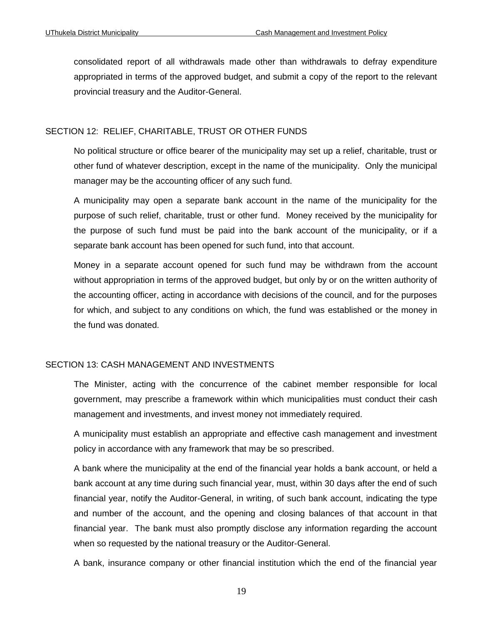consolidated report of all withdrawals made other than withdrawals to defray expenditure appropriated in terms of the approved budget, and submit a copy of the report to the relevant provincial treasury and the Auditor-General.

#### SECTION 12: RELIEF, CHARITABLE, TRUST OR OTHER FUNDS

No political structure or office bearer of the municipality may set up a relief, charitable, trust or other fund of whatever description, except in the name of the municipality. Only the municipal manager may be the accounting officer of any such fund.

A municipality may open a separate bank account in the name of the municipality for the purpose of such relief, charitable, trust or other fund. Money received by the municipality for the purpose of such fund must be paid into the bank account of the municipality, or if a separate bank account has been opened for such fund, into that account.

Money in a separate account opened for such fund may be withdrawn from the account without appropriation in terms of the approved budget, but only by or on the written authority of the accounting officer, acting in accordance with decisions of the council, and for the purposes for which, and subject to any conditions on which, the fund was established or the money in the fund was donated.

## SECTION 13: CASH MANAGEMENT AND INVESTMENTS

The Minister, acting with the concurrence of the cabinet member responsible for local government, may prescribe a framework within which municipalities must conduct their cash management and investments, and invest money not immediately required.

A municipality must establish an appropriate and effective cash management and investment policy in accordance with any framework that may be so prescribed.

A bank where the municipality at the end of the financial year holds a bank account, or held a bank account at any time during such financial year, must, within 30 days after the end of such financial year, notify the Auditor-General, in writing, of such bank account, indicating the type and number of the account, and the opening and closing balances of that account in that financial year. The bank must also promptly disclose any information regarding the account when so requested by the national treasury or the Auditor-General.

A bank, insurance company or other financial institution which the end of the financial year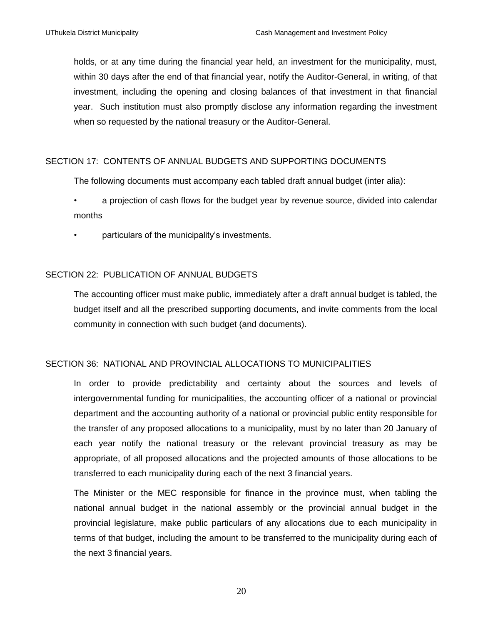holds, or at any time during the financial year held, an investment for the municipality, must, within 30 days after the end of that financial year, notify the Auditor-General, in writing, of that investment, including the opening and closing balances of that investment in that financial year. Such institution must also promptly disclose any information regarding the investment when so requested by the national treasury or the Auditor-General.

#### SECTION 17: CONTENTS OF ANNUAL BUDGETS AND SUPPORTING DOCUMENTS

The following documents must accompany each tabled draft annual budget (inter alia):

- a projection of cash flows for the budget year by revenue source, divided into calendar months
- particulars of the municipality's investments.

## SECTION 22: PUBLICATION OF ANNUAL BUDGETS

The accounting officer must make public, immediately after a draft annual budget is tabled, the budget itself and all the prescribed supporting documents, and invite comments from the local community in connection with such budget (and documents).

#### SECTION 36: NATIONAL AND PROVINCIAL ALLOCATIONS TO MUNICIPALITIES

In order to provide predictability and certainty about the sources and levels of intergovernmental funding for municipalities, the accounting officer of a national or provincial department and the accounting authority of a national or provincial public entity responsible for the transfer of any proposed allocations to a municipality, must by no later than 20 January of each year notify the national treasury or the relevant provincial treasury as may be appropriate, of all proposed allocations and the projected amounts of those allocations to be transferred to each municipality during each of the next 3 financial years.

The Minister or the MEC responsible for finance in the province must, when tabling the national annual budget in the national assembly or the provincial annual budget in the provincial legislature, make public particulars of any allocations due to each municipality in terms of that budget, including the amount to be transferred to the municipality during each of the next 3 financial years.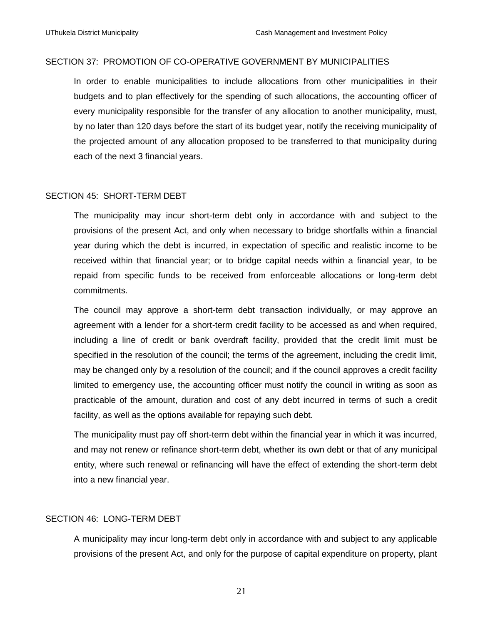#### SECTION 37: PROMOTION OF CO-OPERATIVE GOVERNMENT BY MUNICIPALITIES

In order to enable municipalities to include allocations from other municipalities in their budgets and to plan effectively for the spending of such allocations, the accounting officer of every municipality responsible for the transfer of any allocation to another municipality, must, by no later than 120 days before the start of its budget year, notify the receiving municipality of the projected amount of any allocation proposed to be transferred to that municipality during each of the next 3 financial years.

#### SECTION 45: SHORT-TERM DEBT

The municipality may incur short-term debt only in accordance with and subject to the provisions of the present Act, and only when necessary to bridge shortfalls within a financial year during which the debt is incurred, in expectation of specific and realistic income to be received within that financial year; or to bridge capital needs within a financial year, to be repaid from specific funds to be received from enforceable allocations or long-term debt commitments.

The council may approve a short-term debt transaction individually, or may approve an agreement with a lender for a short-term credit facility to be accessed as and when required, including a line of credit or bank overdraft facility, provided that the credit limit must be specified in the resolution of the council; the terms of the agreement, including the credit limit, may be changed only by a resolution of the council; and if the council approves a credit facility limited to emergency use, the accounting officer must notify the council in writing as soon as practicable of the amount, duration and cost of any debt incurred in terms of such a credit facility, as well as the options available for repaying such debt.

The municipality must pay off short-term debt within the financial year in which it was incurred, and may not renew or refinance short-term debt, whether its own debt or that of any municipal entity, where such renewal or refinancing will have the effect of extending the short-term debt into a new financial year.

## SECTION 46: LONG-TERM DEBT

A municipality may incur long-term debt only in accordance with and subject to any applicable provisions of the present Act, and only for the purpose of capital expenditure on property, plant

21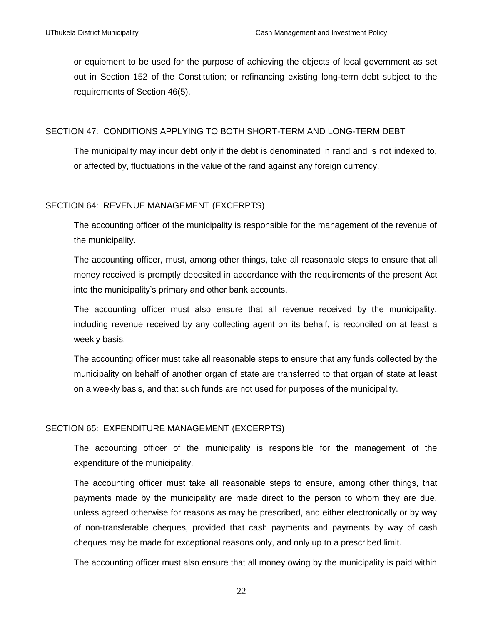or equipment to be used for the purpose of achieving the objects of local government as set out in Section 152 of the Constitution; or refinancing existing long-term debt subject to the requirements of Section 46(5).

#### SECTION 47: CONDITIONS APPLYING TO BOTH SHORT-TERM AND LONG-TERM DEBT

The municipality may incur debt only if the debt is denominated in rand and is not indexed to, or affected by, fluctuations in the value of the rand against any foreign currency.

## SECTION 64: REVENUE MANAGEMENT (EXCERPTS)

The accounting officer of the municipality is responsible for the management of the revenue of the municipality.

The accounting officer, must, among other things, take all reasonable steps to ensure that all money received is promptly deposited in accordance with the requirements of the present Act into the municipality's primary and other bank accounts.

The accounting officer must also ensure that all revenue received by the municipality, including revenue received by any collecting agent on its behalf, is reconciled on at least a weekly basis.

The accounting officer must take all reasonable steps to ensure that any funds collected by the municipality on behalf of another organ of state are transferred to that organ of state at least on a weekly basis, and that such funds are not used for purposes of the municipality.

## SECTION 65: EXPENDITURE MANAGEMENT (EXCERPTS)

The accounting officer of the municipality is responsible for the management of the expenditure of the municipality.

The accounting officer must take all reasonable steps to ensure, among other things, that payments made by the municipality are made direct to the person to whom they are due, unless agreed otherwise for reasons as may be prescribed, and either electronically or by way of non-transferable cheques, provided that cash payments and payments by way of cash cheques may be made for exceptional reasons only, and only up to a prescribed limit.

The accounting officer must also ensure that all money owing by the municipality is paid within

22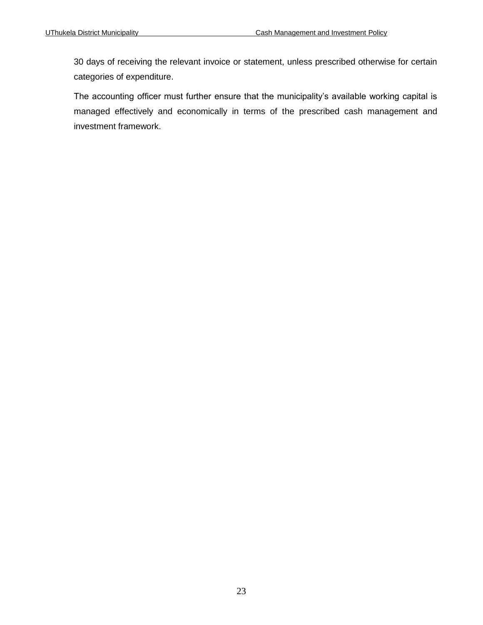30 days of receiving the relevant invoice or statement, unless prescribed otherwise for certain categories of expenditure.

The accounting officer must further ensure that the municipality's available working capital is managed effectively and economically in terms of the prescribed cash management and investment framework.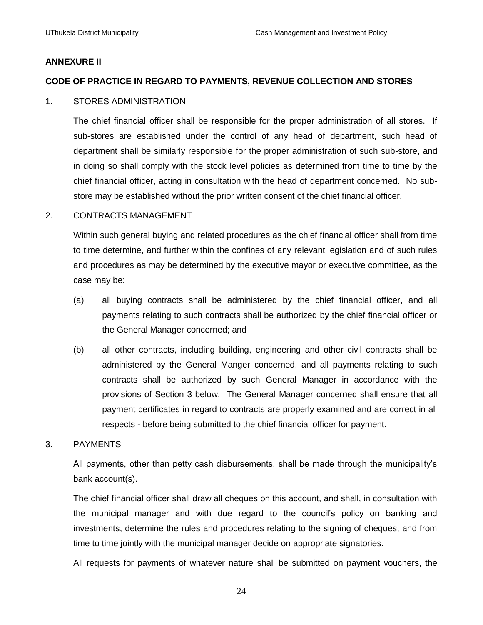#### **ANNEXURE II**

#### **CODE OF PRACTICE IN REGARD TO PAYMENTS, REVENUE COLLECTION AND STORES**

#### 1. STORES ADMINISTRATION

The chief financial officer shall be responsible for the proper administration of all stores. If sub-stores are established under the control of any head of department, such head of department shall be similarly responsible for the proper administration of such sub-store, and in doing so shall comply with the stock level policies as determined from time to time by the chief financial officer, acting in consultation with the head of department concerned. No substore may be established without the prior written consent of the chief financial officer.

#### 2. CONTRACTS MANAGEMENT

Within such general buying and related procedures as the chief financial officer shall from time to time determine, and further within the confines of any relevant legislation and of such rules and procedures as may be determined by the executive mayor or executive committee, as the case may be:

- (a) all buying contracts shall be administered by the chief financial officer, and all payments relating to such contracts shall be authorized by the chief financial officer or the General Manager concerned; and
- (b) all other contracts, including building, engineering and other civil contracts shall be administered by the General Manger concerned, and all payments relating to such contracts shall be authorized by such General Manager in accordance with the provisions of Section 3 below. The General Manager concerned shall ensure that all payment certificates in regard to contracts are properly examined and are correct in all respects - before being submitted to the chief financial officer for payment.
- 3. PAYMENTS

All payments, other than petty cash disbursements, shall be made through the municipality's bank account(s).

The chief financial officer shall draw all cheques on this account, and shall, in consultation with the municipal manager and with due regard to the council's policy on banking and investments, determine the rules and procedures relating to the signing of cheques, and from time to time jointly with the municipal manager decide on appropriate signatories.

All requests for payments of whatever nature shall be submitted on payment vouchers, the